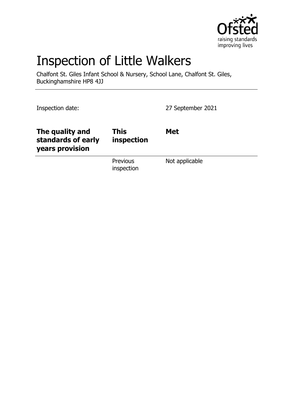

# Inspection of Little Walkers

Chalfont St. Giles Infant School & Nursery, School Lane, Chalfont St. Giles, Buckinghamshire HP8 4JJ

Inspection date: 27 September 2021

| The quality and<br>standards of early<br>years provision | <b>This</b><br>inspection | <b>Met</b>     |
|----------------------------------------------------------|---------------------------|----------------|
|                                                          | Previous<br>inspection    | Not applicable |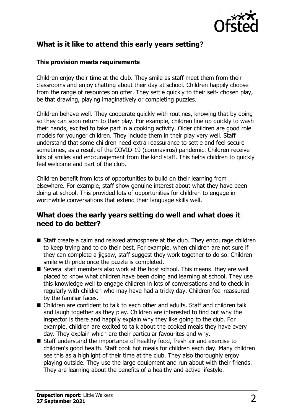

## **What is it like to attend this early years setting?**

#### **This provision meets requirements**

Children enjoy their time at the club. They smile as staff meet them from their classrooms and enjoy chatting about their day at school. Children happily choose from the range of resources on offer. They settle quickly to their self- chosen play, be that drawing, playing imaginatively or completing puzzles.

Children behave well. They cooperate quickly with routines, knowing that by doing so they can soon return to their play. For example, children line up quickly to wash their hands, excited to take part in a cooking activity. Older children are good role models for younger children. They include them in their play very well. Staff understand that some children need extra reassurance to settle and feel secure sometimes, as a result of the COVID-19 (coronavirus) pandemic. Children receive lots of smiles and encouragement from the kind staff. This helps children to quickly feel welcome and part of the club.

Children benefit from lots of opportunities to build on their learning from elsewhere. For example, staff show genuine interest about what they have been doing at school. This provided lots of opportunities for children to engage in worthwhile conversations that extend their language skills well.

#### **What does the early years setting do well and what does it need to do better?**

- $\blacksquare$  Staff create a calm and relaxed atmosphere at the club. They encourage children to keep trying and to do their best. For example, when children are not sure if they can complete a jigsaw, staff suggest they work together to do so. Children smile with pride once the puzzle is completed.
- $\blacksquare$  Several staff members also work at the host school. This means they are well placed to know what children have been doing and learning at school. They use this knowledge well to engage children in lots of conversations and to check in regularly with children who may have had a tricky day. Children feel reassured by the familiar faces.
- Children are confident to talk to each other and adults. Staff and children talk and laugh together as they play. Children are interested to find out why the inspector is there and happily explain why they like going to the club. For example, children are excited to talk about the cooked meals they have every day. They explain which are their particular favourites and why.
- Staff understand the importance of healthy food, fresh air and exercise to children's good health. Staff cook hot meals for children each day. Many children see this as a highlight of their time at the club. They also thoroughly enjoy playing outside. They use the large equipment and run about with their friends. They are learning about the benefits of a healthy and active lifestyle.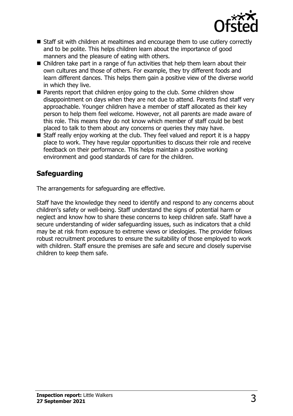

- Staff sit with children at mealtimes and encourage them to use cutlery correctly and to be polite. This helps children learn about the importance of good manners and the pleasure of eating with others.
- $\blacksquare$  Children take part in a range of fun activities that help them learn about their own cultures and those of others. For example, they try different foods and learn different dances. This helps them gain a positive view of the diverse world in which they live.
- $\blacksquare$  Parents report that children enjoy going to the club. Some children show disappointment on days when they are not due to attend. Parents find staff very approachable. Younger children have a member of staff allocated as their key person to help them feel welcome. However, not all parents are made aware of this role. This means they do not know which member of staff could be best placed to talk to them about any concerns or queries they may have.
- $\blacksquare$  Staff really enjoy working at the club. They feel valued and report it is a happy place to work. They have regular opportunities to discuss their role and receive feedback on their performance. This helps maintain a positive working environment and good standards of care for the children.

## **Safeguarding**

The arrangements for safeguarding are effective.

Staff have the knowledge they need to identify and respond to any concerns about children's safety or well-being. Staff understand the signs of potential harm or neglect and know how to share these concerns to keep children safe. Staff have a secure understanding of wider safeguarding issues, such as indicators that a child may be at risk from exposure to extreme views or ideologies. The provider follows robust recruitment procedures to ensure the suitability of those employed to work with children. Staff ensure the premises are safe and secure and closely supervise children to keep them safe.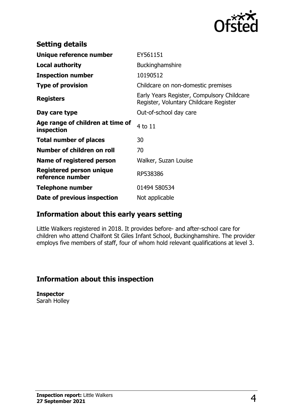

| <b>Setting details</b>                              |                                                                                      |
|-----------------------------------------------------|--------------------------------------------------------------------------------------|
| Unique reference number                             | EY561151                                                                             |
| <b>Local authority</b>                              | Buckinghamshire                                                                      |
| <b>Inspection number</b>                            | 10190512                                                                             |
| <b>Type of provision</b>                            | Childcare on non-domestic premises                                                   |
| <b>Registers</b>                                    | Early Years Register, Compulsory Childcare<br>Register, Voluntary Childcare Register |
| Day care type                                       | Out-of-school day care                                                               |
| Age range of children at time of<br>inspection      | 4 to 11                                                                              |
| <b>Total number of places</b>                       | 30                                                                                   |
| Number of children on roll                          | 70                                                                                   |
| Name of registered person                           | Walker, Suzan Louise                                                                 |
| <b>Registered person unique</b><br>reference number | RP538386                                                                             |
| <b>Telephone number</b>                             | 01494 580534                                                                         |
| Date of previous inspection                         | Not applicable                                                                       |

### **Information about this early years setting**

Little Walkers registered in 2018. It provides before- and after-school care for children who attend Chalfont St Giles Infant School, Buckinghamshire. The provider employs five members of staff, four of whom hold relevant qualifications at level 3.

# **Information about this inspection**

**Inspector** Sarah Holley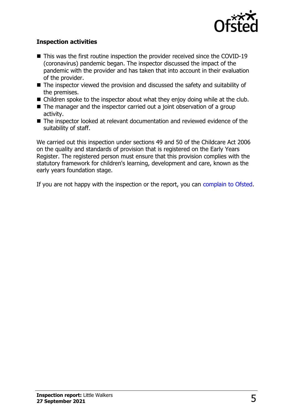

#### **Inspection activities**

- $\blacksquare$  This was the first routine inspection the provider received since the COVID-19 (coronavirus) pandemic began. The inspector discussed the impact of the pandemic with the provider and has taken that into account in their evaluation of the provider.
- $\blacksquare$  The inspector viewed the provision and discussed the safety and suitability of the premises.
- $\blacksquare$  Children spoke to the inspector about what they enjoy doing while at the club.
- $\blacksquare$  The manager and the inspector carried out a joint observation of a group activity.
- The inspector looked at relevant documentation and reviewed evidence of the suitability of staff.

We carried out this inspection under sections 49 and 50 of the Childcare Act 2006 on the quality and standards of provision that is registered on the Early Years Register. The registered person must ensure that this provision complies with the statutory framework for children's learning, development and care, known as the early years foundation stage.

If you are not happy with the inspection or the report, you can [complain to Ofsted](http://www.gov.uk/complain-ofsted-report).